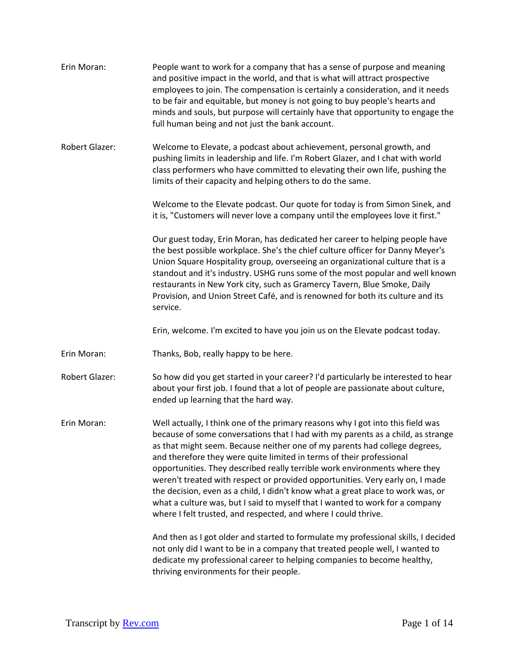| Erin Moran:           | People want to work for a company that has a sense of purpose and meaning<br>and positive impact in the world, and that is what will attract prospective<br>employees to join. The compensation is certainly a consideration, and it needs<br>to be fair and equitable, but money is not going to buy people's hearts and<br>minds and souls, but purpose will certainly have that opportunity to engage the<br>full human being and not just the bank account.                                                                                                                                                                                                                                                              |
|-----------------------|------------------------------------------------------------------------------------------------------------------------------------------------------------------------------------------------------------------------------------------------------------------------------------------------------------------------------------------------------------------------------------------------------------------------------------------------------------------------------------------------------------------------------------------------------------------------------------------------------------------------------------------------------------------------------------------------------------------------------|
| <b>Robert Glazer:</b> | Welcome to Elevate, a podcast about achievement, personal growth, and<br>pushing limits in leadership and life. I'm Robert Glazer, and I chat with world<br>class performers who have committed to elevating their own life, pushing the<br>limits of their capacity and helping others to do the same.                                                                                                                                                                                                                                                                                                                                                                                                                      |
|                       | Welcome to the Elevate podcast. Our quote for today is from Simon Sinek, and<br>it is, "Customers will never love a company until the employees love it first."                                                                                                                                                                                                                                                                                                                                                                                                                                                                                                                                                              |
|                       | Our guest today, Erin Moran, has dedicated her career to helping people have<br>the best possible workplace. She's the chief culture officer for Danny Meyer's<br>Union Square Hospitality group, overseeing an organizational culture that is a<br>standout and it's industry. USHG runs some of the most popular and well known<br>restaurants in New York city, such as Gramercy Tavern, Blue Smoke, Daily<br>Provision, and Union Street Café, and is renowned for both its culture and its<br>service.                                                                                                                                                                                                                  |
|                       | Erin, welcome. I'm excited to have you join us on the Elevate podcast today.                                                                                                                                                                                                                                                                                                                                                                                                                                                                                                                                                                                                                                                 |
| Erin Moran:           | Thanks, Bob, really happy to be here.                                                                                                                                                                                                                                                                                                                                                                                                                                                                                                                                                                                                                                                                                        |
| <b>Robert Glazer:</b> | So how did you get started in your career? I'd particularly be interested to hear<br>about your first job. I found that a lot of people are passionate about culture,<br>ended up learning that the hard way.                                                                                                                                                                                                                                                                                                                                                                                                                                                                                                                |
| Erin Moran:           | Well actually, I think one of the primary reasons why I got into this field was<br>because of some conversations that I had with my parents as a child, as strange<br>as that might seem. Because neither one of my parents had college degrees,<br>and therefore they were quite limited in terms of their professional<br>opportunities. They described really terrible work environments where they<br>weren't treated with respect or provided opportunities. Very early on, I made<br>the decision, even as a child, I didn't know what a great place to work was, or<br>what a culture was, but I said to myself that I wanted to work for a company<br>where I felt trusted, and respected, and where I could thrive. |
|                       | And then as I got older and started to formulate my professional skills, I decided<br>not only did I want to be in a company that treated people well, I wanted to<br>dedicate my professional career to helping companies to become healthy,<br>thriving environments for their people.                                                                                                                                                                                                                                                                                                                                                                                                                                     |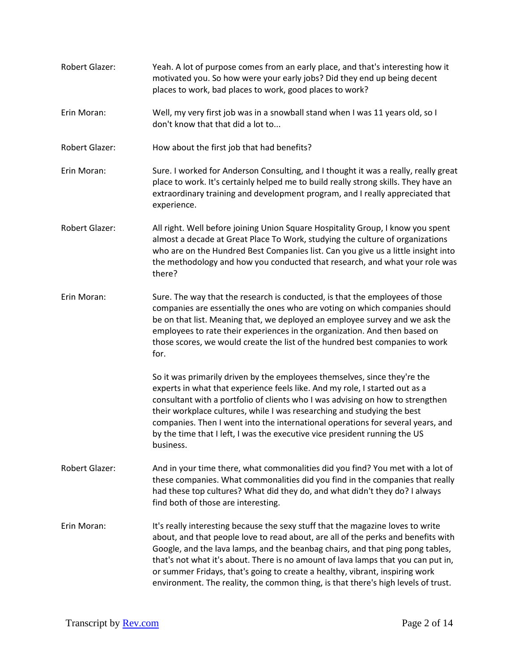Robert Glazer: Yeah. A lot of purpose comes from an early place, and that's interesting how it motivated you. So how were your early jobs? Did they end up being decent places to work, bad places to work, good places to work? Erin Moran: Well, my very first job was in a snowball stand when I was 11 years old, so I don't know that that did a lot to... Robert Glazer: How about the first job that had benefits? Erin Moran: Sure. I worked for Anderson Consulting, and I thought it was a really, really great place to work. It's certainly helped me to build really strong skills. They have an extraordinary training and development program, and I really appreciated that experience. Robert Glazer: All right. Well before joining Union Square Hospitality Group, I know you spent almost a decade at Great Place To Work, studying the culture of organizations who are on the Hundred Best Companies list. Can you give us a little insight into the methodology and how you conducted that research, and what your role was there? Erin Moran: Sure. The way that the research is conducted, is that the employees of those companies are essentially the ones who are voting on which companies should be on that list. Meaning that, we deployed an employee survey and we ask the employees to rate their experiences in the organization. And then based on those scores, we would create the list of the hundred best companies to work for. So it was primarily driven by the employees themselves, since they're the experts in what that experience feels like. And my role, I started out as a consultant with a portfolio of clients who I was advising on how to strengthen their workplace cultures, while I was researching and studying the best companies. Then I went into the international operations for several years, and by the time that I left, I was the executive vice president running the US business. Robert Glazer: And in your time there, what commonalities did you find? You met with a lot of these companies. What commonalities did you find in the companies that really had these top cultures? What did they do, and what didn't they do? I always find both of those are interesting. Erin Moran: It's really interesting because the sexy stuff that the magazine loves to write about, and that people love to read about, are all of the perks and benefits with Google, and the lava lamps, and the beanbag chairs, and that ping pong tables, that's not what it's about. There is no amount of lava lamps that you can put in, or summer Fridays, that's going to create a healthy, vibrant, inspiring work environment. The reality, the common thing, is that there's high levels of trust.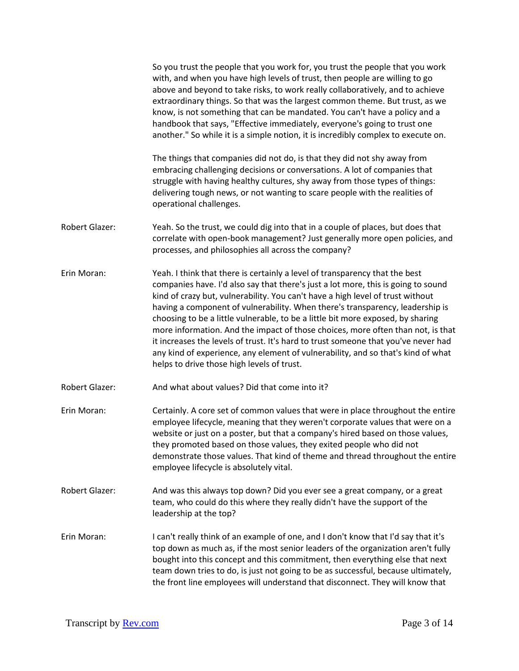|                       | So you trust the people that you work for, you trust the people that you work<br>with, and when you have high levels of trust, then people are willing to go<br>above and beyond to take risks, to work really collaboratively, and to achieve<br>extraordinary things. So that was the largest common theme. But trust, as we<br>know, is not something that can be mandated. You can't have a policy and a<br>handbook that says, "Effective immediately, everyone's going to trust one<br>another." So while it is a simple notion, it is incredibly complex to execute on.                                                                                                                                                    |
|-----------------------|-----------------------------------------------------------------------------------------------------------------------------------------------------------------------------------------------------------------------------------------------------------------------------------------------------------------------------------------------------------------------------------------------------------------------------------------------------------------------------------------------------------------------------------------------------------------------------------------------------------------------------------------------------------------------------------------------------------------------------------|
|                       | The things that companies did not do, is that they did not shy away from<br>embracing challenging decisions or conversations. A lot of companies that<br>struggle with having healthy cultures, shy away from those types of things:<br>delivering tough news, or not wanting to scare people with the realities of<br>operational challenges.                                                                                                                                                                                                                                                                                                                                                                                    |
| Robert Glazer:        | Yeah. So the trust, we could dig into that in a couple of places, but does that<br>correlate with open-book management? Just generally more open policies, and<br>processes, and philosophies all across the company?                                                                                                                                                                                                                                                                                                                                                                                                                                                                                                             |
| Erin Moran:           | Yeah. I think that there is certainly a level of transparency that the best<br>companies have. I'd also say that there's just a lot more, this is going to sound<br>kind of crazy but, vulnerability. You can't have a high level of trust without<br>having a component of vulnerability. When there's transparency, leadership is<br>choosing to be a little vulnerable, to be a little bit more exposed, by sharing<br>more information. And the impact of those choices, more often than not, is that<br>it increases the levels of trust. It's hard to trust someone that you've never had<br>any kind of experience, any element of vulnerability, and so that's kind of what<br>helps to drive those high levels of trust. |
| Robert Glazer:        | And what about values? Did that come into it?                                                                                                                                                                                                                                                                                                                                                                                                                                                                                                                                                                                                                                                                                     |
| Erin Moran:           | Certainly. A core set of common values that were in place throughout the entire<br>employee lifecycle, meaning that they weren't corporate values that were on a<br>website or just on a poster, but that a company's hired based on those values,<br>they promoted based on those values, they exited people who did not<br>demonstrate those values. That kind of theme and thread throughout the entire<br>employee lifecycle is absolutely vital.                                                                                                                                                                                                                                                                             |
| <b>Robert Glazer:</b> | And was this always top down? Did you ever see a great company, or a great<br>team, who could do this where they really didn't have the support of the<br>leadership at the top?                                                                                                                                                                                                                                                                                                                                                                                                                                                                                                                                                  |
| Erin Moran:           | I can't really think of an example of one, and I don't know that I'd say that it's<br>top down as much as, if the most senior leaders of the organization aren't fully<br>bought into this concept and this commitment, then everything else that next<br>team down tries to do, is just not going to be as successful, because ultimately,<br>the front line employees will understand that disconnect. They will know that                                                                                                                                                                                                                                                                                                      |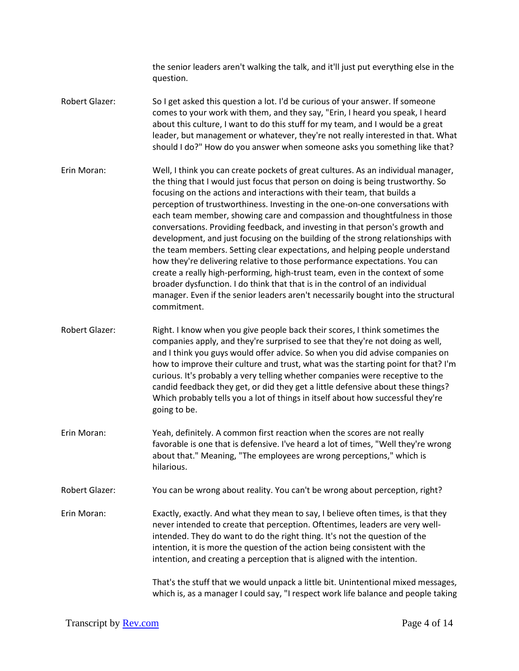the senior leaders aren't walking the talk, and it'll just put everything else in the question.

- Robert Glazer: So I get asked this question a lot. I'd be curious of your answer. If someone comes to your work with them, and they say, "Erin, I heard you speak, I heard about this culture, I want to do this stuff for my team, and I would be a great leader, but management or whatever, they're not really interested in that. What should I do?" How do you answer when someone asks you something like that?
- Erin Moran: Well, I think you can create pockets of great cultures. As an individual manager, the thing that I would just focus that person on doing is being trustworthy. So focusing on the actions and interactions with their team, that builds a perception of trustworthiness. Investing in the one-on-one conversations with each team member, showing care and compassion and thoughtfulness in those conversations. Providing feedback, and investing in that person's growth and development, and just focusing on the building of the strong relationships with the team members. Setting clear expectations, and helping people understand how they're delivering relative to those performance expectations. You can create a really high-performing, high-trust team, even in the context of some broader dysfunction. I do think that that is in the control of an individual manager. Even if the senior leaders aren't necessarily bought into the structural commitment.
- Robert Glazer: Right. I know when you give people back their scores, I think sometimes the companies apply, and they're surprised to see that they're not doing as well, and I think you guys would offer advice. So when you did advise companies on how to improve their culture and trust, what was the starting point for that? I'm curious. It's probably a very telling whether companies were receptive to the candid feedback they get, or did they get a little defensive about these things? Which probably tells you a lot of things in itself about how successful they're going to be.
- Erin Moran: Yeah, definitely. A common first reaction when the scores are not really favorable is one that is defensive. I've heard a lot of times, "Well they're wrong about that." Meaning, "The employees are wrong perceptions," which is hilarious.
- Robert Glazer: You can be wrong about reality. You can't be wrong about perception, right?
- Erin Moran: Exactly, exactly. And what they mean to say, I believe often times, is that they never intended to create that perception. Oftentimes, leaders are very wellintended. They do want to do the right thing. It's not the question of the intention, it is more the question of the action being consistent with the intention, and creating a perception that is aligned with the intention.

That's the stuff that we would unpack a little bit. Unintentional mixed messages, which is, as a manager I could say, "I respect work life balance and people taking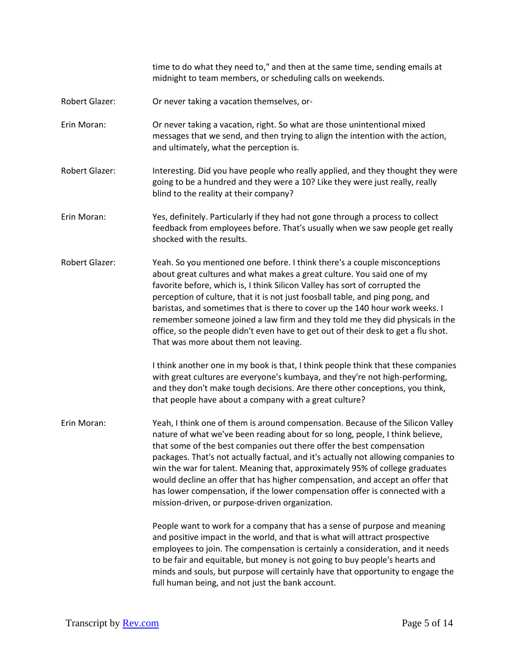time to do what they need to," and then at the same time, sending emails at midnight to team members, or scheduling calls on weekends. Robert Glazer: Or never taking a vacation themselves, or-Erin Moran: Or never taking a vacation, right. So what are those unintentional mixed messages that we send, and then trying to align the intention with the action, and ultimately, what the perception is. Robert Glazer: Interesting. Did you have people who really applied, and they thought they were going to be a hundred and they were a 10? Like they were just really, really blind to the reality at their company? Erin Moran: Yes, definitely. Particularly if they had not gone through a process to collect feedback from employees before. That's usually when we saw people get really shocked with the results. Robert Glazer: Yeah. So you mentioned one before. I think there's a couple misconceptions about great cultures and what makes a great culture. You said one of my favorite before, which is, I think Silicon Valley has sort of corrupted the perception of culture, that it is not just foosball table, and ping pong, and baristas, and sometimes that is there to cover up the 140 hour work weeks. I remember someone joined a law firm and they told me they did physicals in the office, so the people didn't even have to get out of their desk to get a flu shot. That was more about them not leaving. I think another one in my book is that, I think people think that these companies with great cultures are everyone's kumbaya, and they're not high-performing, and they don't make tough decisions. Are there other conceptions, you think, that people have about a company with a great culture? Erin Moran: Yeah, I think one of them is around compensation. Because of the Silicon Valley nature of what we've been reading about for so long, people, I think believe, that some of the best companies out there offer the best compensation packages. That's not actually factual, and it's actually not allowing companies to win the war for talent. Meaning that, approximately 95% of college graduates would decline an offer that has higher compensation, and accept an offer that has lower compensation, if the lower compensation offer is connected with a mission-driven, or purpose-driven organization. People want to work for a company that has a sense of purpose and meaning and positive impact in the world, and that is what will attract prospective employees to join. The compensation is certainly a consideration, and it needs to be fair and equitable, but money is not going to buy people's hearts and minds and souls, but purpose will certainly have that opportunity to engage the full human being, and not just the bank account.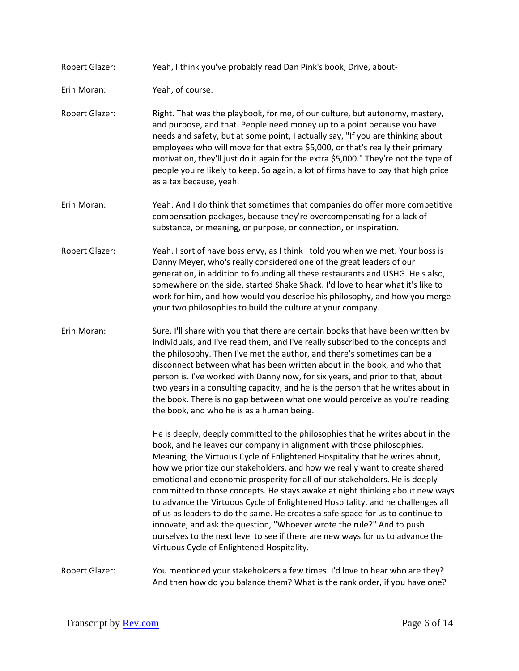Robert Glazer: Yeah, I think you've probably read Dan Pink's book, Drive, about-

Erin Moran: Yeah, of course.

- Robert Glazer: Right. That was the playbook, for me, of our culture, but autonomy, mastery, and purpose, and that. People need money up to a point because you have needs and safety, but at some point, I actually say, "If you are thinking about employees who will move for that extra \$5,000, or that's really their primary motivation, they'll just do it again for the extra \$5,000." They're not the type of people you're likely to keep. So again, a lot of firms have to pay that high price as a tax because, yeah.
- Erin Moran: Yeah. And I do think that sometimes that companies do offer more competitive compensation packages, because they're overcompensating for a lack of substance, or meaning, or purpose, or connection, or inspiration.
- Robert Glazer: Yeah. I sort of have boss envy, as I think I told you when we met. Your boss is Danny Meyer, who's really considered one of the great leaders of our generation, in addition to founding all these restaurants and USHG. He's also, somewhere on the side, started Shake Shack. I'd love to hear what it's like to work for him, and how would you describe his philosophy, and how you merge your two philosophies to build the culture at your company.
- Erin Moran: Sure. I'll share with you that there are certain books that have been written by individuals, and I've read them, and I've really subscribed to the concepts and the philosophy. Then I've met the author, and there's sometimes can be a disconnect between what has been written about in the book, and who that person is. I've worked with Danny now, for six years, and prior to that, about two years in a consulting capacity, and he is the person that he writes about in the book. There is no gap between what one would perceive as you're reading the book, and who he is as a human being.

He is deeply, deeply committed to the philosophies that he writes about in the book, and he leaves our company in alignment with those philosophies. Meaning, the Virtuous Cycle of Enlightened Hospitality that he writes about, how we prioritize our stakeholders, and how we really want to create shared emotional and economic prosperity for all of our stakeholders. He is deeply committed to those concepts. He stays awake at night thinking about new ways to advance the Virtuous Cycle of Enlightened Hospitality, and he challenges all of us as leaders to do the same. He creates a safe space for us to continue to innovate, and ask the question, "Whoever wrote the rule?" And to push ourselves to the next level to see if there are new ways for us to advance the Virtuous Cycle of Enlightened Hospitality.

Robert Glazer: You mentioned your stakeholders a few times. I'd love to hear who are they? And then how do you balance them? What is the rank order, if you have one?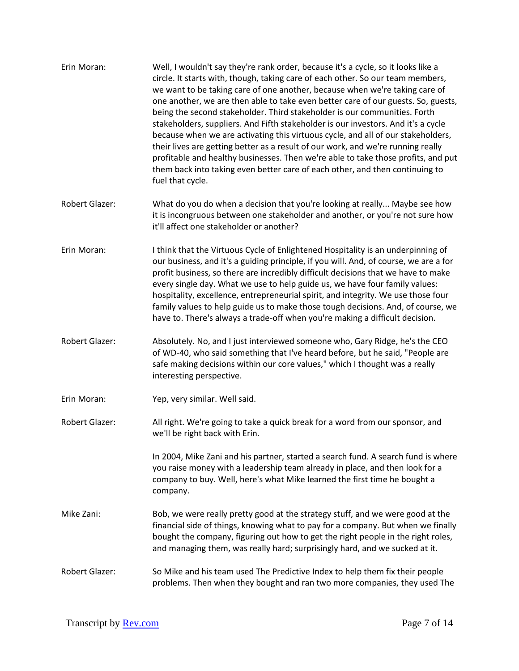- Erin Moran: Well, I wouldn't say they're rank order, because it's a cycle, so it looks like a circle. It starts with, though, taking care of each other. So our team members, we want to be taking care of one another, because when we're taking care of one another, we are then able to take even better care of our guests. So, guests, being the second stakeholder. Third stakeholder is our communities. Forth stakeholders, suppliers. And Fifth stakeholder is our investors. And it's a cycle because when we are activating this virtuous cycle, and all of our stakeholders, their lives are getting better as a result of our work, and we're running really profitable and healthy businesses. Then we're able to take those profits, and put them back into taking even better care of each other, and then continuing to fuel that cycle.
- Robert Glazer: What do you do when a decision that you're looking at really... Maybe see how it is incongruous between one stakeholder and another, or you're not sure how it'll affect one stakeholder or another?
- Erin Moran: I think that the Virtuous Cycle of Enlightened Hospitality is an underpinning of our business, and it's a guiding principle, if you will. And, of course, we are a for profit business, so there are incredibly difficult decisions that we have to make every single day. What we use to help guide us, we have four family values: hospitality, excellence, entrepreneurial spirit, and integrity. We use those four family values to help guide us to make those tough decisions. And, of course, we have to. There's always a trade-off when you're making a difficult decision.
- Robert Glazer: Absolutely. No, and I just interviewed someone who, Gary Ridge, he's the CEO of WD-40, who said something that I've heard before, but he said, "People are safe making decisions within our core values," which I thought was a really interesting perspective.
- Erin Moran: Yep, very similar. Well said.
- Robert Glazer: All right. We're going to take a quick break for a word from our sponsor, and we'll be right back with Erin.

In 2004, Mike Zani and his partner, started a search fund. A search fund is where you raise money with a leadership team already in place, and then look for a company to buy. Well, here's what Mike learned the first time he bought a company.

- Mike Zani: Bob, we were really pretty good at the strategy stuff, and we were good at the financial side of things, knowing what to pay for a company. But when we finally bought the company, figuring out how to get the right people in the right roles, and managing them, was really hard; surprisingly hard, and we sucked at it.
- Robert Glazer: So Mike and his team used The Predictive Index to help them fix their people problems. Then when they bought and ran two more companies, they used The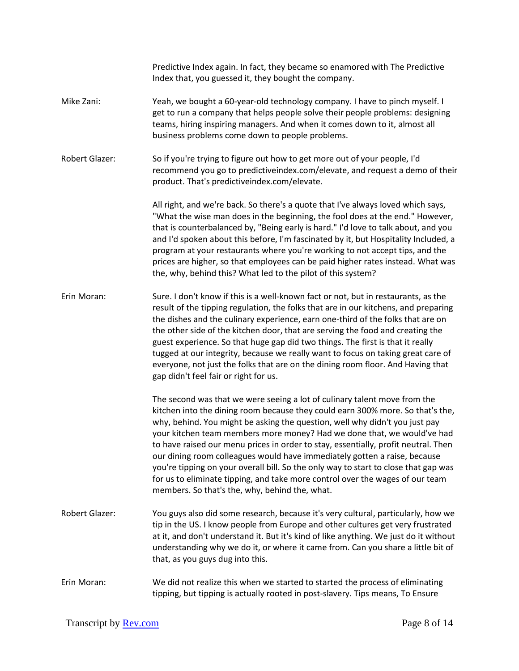|                       | Predictive Index again. In fact, they became so enamored with The Predictive<br>Index that, you guessed it, they bought the company.                                                                                                                                                                                                                                                                                                                                                                                                                                                                                                                                                                               |
|-----------------------|--------------------------------------------------------------------------------------------------------------------------------------------------------------------------------------------------------------------------------------------------------------------------------------------------------------------------------------------------------------------------------------------------------------------------------------------------------------------------------------------------------------------------------------------------------------------------------------------------------------------------------------------------------------------------------------------------------------------|
| Mike Zani:            | Yeah, we bought a 60-year-old technology company. I have to pinch myself. I<br>get to run a company that helps people solve their people problems: designing<br>teams, hiring inspiring managers. And when it comes down to it, almost all<br>business problems come down to people problems.                                                                                                                                                                                                                                                                                                                                                                                                                      |
| <b>Robert Glazer:</b> | So if you're trying to figure out how to get more out of your people, I'd<br>recommend you go to predictiveindex.com/elevate, and request a demo of their<br>product. That's predictiveindex.com/elevate.                                                                                                                                                                                                                                                                                                                                                                                                                                                                                                          |
|                       | All right, and we're back. So there's a quote that I've always loved which says,<br>"What the wise man does in the beginning, the fool does at the end." However,<br>that is counterbalanced by, "Being early is hard." I'd love to talk about, and you<br>and I'd spoken about this before, I'm fascinated by it, but Hospitality Included, a<br>program at your restaurants where you're working to not accept tips, and the<br>prices are higher, so that employees can be paid higher rates instead. What was<br>the, why, behind this? What led to the pilot of this system?                                                                                                                                  |
| Erin Moran:           | Sure. I don't know if this is a well-known fact or not, but in restaurants, as the<br>result of the tipping regulation, the folks that are in our kitchens, and preparing<br>the dishes and the culinary experience, earn one-third of the folks that are on<br>the other side of the kitchen door, that are serving the food and creating the<br>guest experience. So that huge gap did two things. The first is that it really<br>tugged at our integrity, because we really want to focus on taking great care of<br>everyone, not just the folks that are on the dining room floor. And Having that<br>gap didn't feel fair or right for us.                                                                   |
|                       | The second was that we were seeing a lot of culinary talent move from the<br>kitchen into the dining room because they could earn 300% more. So that's the,<br>why, behind. You might be asking the question, well why didn't you just pay<br>your kitchen team members more money? Had we done that, we would've had<br>to have raised our menu prices in order to stay, essentially, profit neutral. Then<br>our dining room colleagues would have immediately gotten a raise, because<br>you're tipping on your overall bill. So the only way to start to close that gap was<br>for us to eliminate tipping, and take more control over the wages of our team<br>members. So that's the, why, behind the, what. |
| <b>Robert Glazer:</b> | You guys also did some research, because it's very cultural, particularly, how we<br>tip in the US. I know people from Europe and other cultures get very frustrated<br>at it, and don't understand it. But it's kind of like anything. We just do it without<br>understanding why we do it, or where it came from. Can you share a little bit of<br>that, as you guys dug into this.                                                                                                                                                                                                                                                                                                                              |
| Erin Moran:           | We did not realize this when we started to started the process of eliminating<br>tipping, but tipping is actually rooted in post-slavery. Tips means, To Ensure                                                                                                                                                                                                                                                                                                                                                                                                                                                                                                                                                    |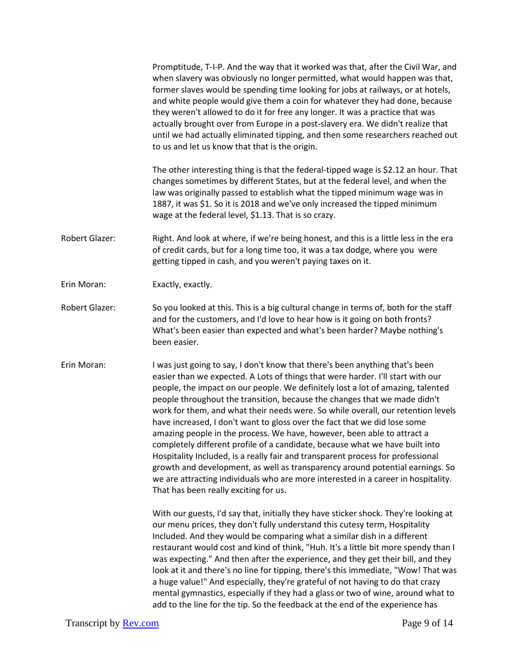|                       | Promptitude, T-I-P. And the way that it worked was that, after the Civil War, and<br>when slavery was obviously no longer permitted, what would happen was that,<br>former slaves would be spending time looking for jobs at railways, or at hotels,<br>and white people would give them a coin for whatever they had done, because<br>they weren't allowed to do it for free any longer. It was a practice that was<br>actually brought over from Europe in a post-slavery era. We didn't realize that<br>until we had actually eliminated tipping, and then some researchers reached out<br>to us and let us know that that is the origin.                                                                                                                                                                                                                                                                                                                  |
|-----------------------|---------------------------------------------------------------------------------------------------------------------------------------------------------------------------------------------------------------------------------------------------------------------------------------------------------------------------------------------------------------------------------------------------------------------------------------------------------------------------------------------------------------------------------------------------------------------------------------------------------------------------------------------------------------------------------------------------------------------------------------------------------------------------------------------------------------------------------------------------------------------------------------------------------------------------------------------------------------|
|                       | The other interesting thing is that the federal-tipped wage is \$2.12 an hour. That<br>changes sometimes by different States, but at the federal level, and when the<br>law was originally passed to establish what the tipped minimum wage was in<br>1887, it was \$1. So it is 2018 and we've only increased the tipped minimum<br>wage at the federal level, \$1.13. That is so crazy.                                                                                                                                                                                                                                                                                                                                                                                                                                                                                                                                                                     |
| <b>Robert Glazer:</b> | Right. And look at where, if we're being honest, and this is a little less in the era<br>of credit cards, but for a long time too, it was a tax dodge, where you were<br>getting tipped in cash, and you weren't paying taxes on it.                                                                                                                                                                                                                                                                                                                                                                                                                                                                                                                                                                                                                                                                                                                          |
| Erin Moran:           | Exactly, exactly.                                                                                                                                                                                                                                                                                                                                                                                                                                                                                                                                                                                                                                                                                                                                                                                                                                                                                                                                             |
| <b>Robert Glazer:</b> | So you looked at this. This is a big cultural change in terms of, both for the staff<br>and for the customers, and I'd love to hear how is it going on both fronts?<br>What's been easier than expected and what's been harder? Maybe nothing's<br>been easier.                                                                                                                                                                                                                                                                                                                                                                                                                                                                                                                                                                                                                                                                                               |
| Erin Moran:           | I was just going to say, I don't know that there's been anything that's been<br>easier than we expected. A Lots of things that were harder. I'll start with our<br>people, the impact on our people. We definitely lost a lot of amazing, talented<br>people throughout the transition, because the changes that we made didn't<br>work for them, and what their needs were. So while overall, our retention levels<br>have increased, I don't want to gloss over the fact that we did lose some<br>amazing people in the process. We have, however, been able to attract a<br>completely different profile of a candidate, because what we have built into<br>Hospitality Included, is a really fair and transparent process for professional<br>growth and development, as well as transparency around potential earnings. So<br>we are attracting individuals who are more interested in a career in hospitality.<br>That has been really exciting for us. |
|                       | With our guests, I'd say that, initially they have sticker shock. They're looking at<br>our menu prices, they don't fully understand this cutesy term, Hospitality<br>Included. And they would be comparing what a similar dish in a different<br>restaurant would cost and kind of think, "Huh. It's a little bit more spendy than I<br>was expecting." And then after the experience, and they get their bill, and they<br>look at it and there's no line for tipping, there's this immediate, "Wow! That was<br>a huge value!" And especially, they're grateful of not having to do that crazy<br>mental gymnastics, especially if they had a glass or two of wine, around what to<br>add to the line for the tip. So the feedback at the end of the experience has                                                                                                                                                                                        |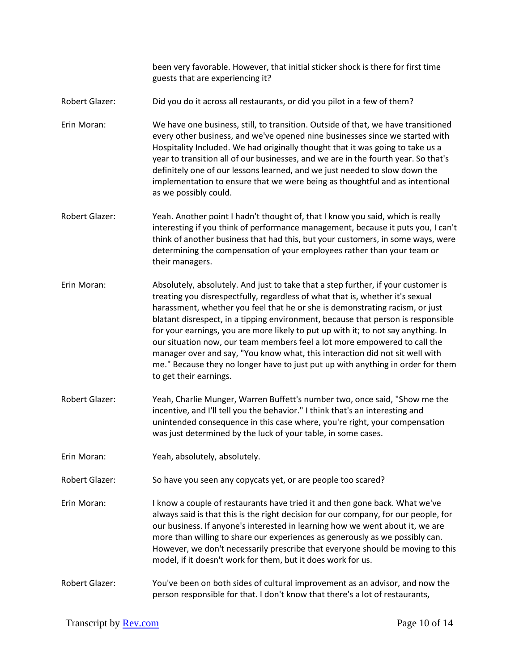been very favorable. However, that initial sticker shock is there for first time guests that are experiencing it?

- Robert Glazer: Did you do it across all restaurants, or did you pilot in a few of them?
- Erin Moran: We have one business, still, to transition. Outside of that, we have transitioned every other business, and we've opened nine businesses since we started with Hospitality Included. We had originally thought that it was going to take us a year to transition all of our businesses, and we are in the fourth year. So that's definitely one of our lessons learned, and we just needed to slow down the implementation to ensure that we were being as thoughtful and as intentional as we possibly could.
- Robert Glazer: Yeah. Another point I hadn't thought of, that I know you said, which is really interesting if you think of performance management, because it puts you, I can't think of another business that had this, but your customers, in some ways, were determining the compensation of your employees rather than your team or their managers.
- Erin Moran: Absolutely, absolutely. And just to take that a step further, if your customer is treating you disrespectfully, regardless of what that is, whether it's sexual harassment, whether you feel that he or she is demonstrating racism, or just blatant disrespect, in a tipping environment, because that person is responsible for your earnings, you are more likely to put up with it; to not say anything. In our situation now, our team members feel a lot more empowered to call the manager over and say, "You know what, this interaction did not sit well with me." Because they no longer have to just put up with anything in order for them to get their earnings.
- Robert Glazer: Yeah, Charlie Munger, Warren Buffett's number two, once said, "Show me the incentive, and I'll tell you the behavior." I think that's an interesting and unintended consequence in this case where, you're right, your compensation was just determined by the luck of your table, in some cases.
- Erin Moran: Yeah, absolutely, absolutely.
- Robert Glazer: So have you seen any copycats yet, or are people too scared?
- Erin Moran: I know a couple of restaurants have tried it and then gone back. What we've always said is that this is the right decision for our company, for our people, for our business. If anyone's interested in learning how we went about it, we are more than willing to share our experiences as generously as we possibly can. However, we don't necessarily prescribe that everyone should be moving to this model, if it doesn't work for them, but it does work for us.
- Robert Glazer: You've been on both sides of cultural improvement as an advisor, and now the person responsible for that. I don't know that there's a lot of restaurants,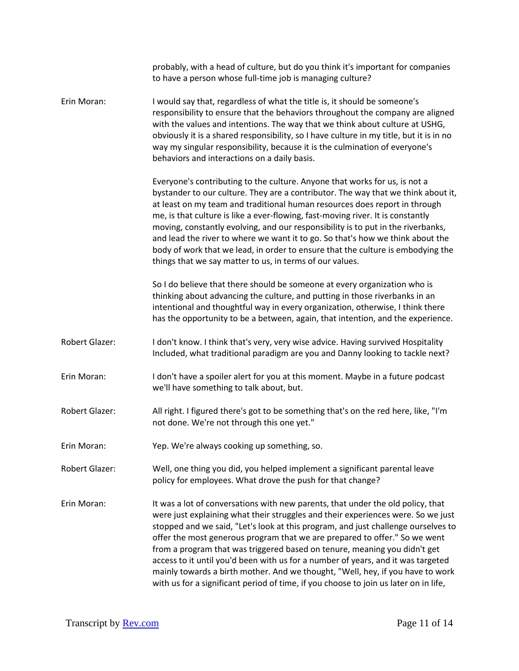|                       | probably, with a head of culture, but do you think it's important for companies<br>to have a person whose full-time job is managing culture?                                                                                                                                                                                                                                                                                                                                                                                                                                                                                                                                      |
|-----------------------|-----------------------------------------------------------------------------------------------------------------------------------------------------------------------------------------------------------------------------------------------------------------------------------------------------------------------------------------------------------------------------------------------------------------------------------------------------------------------------------------------------------------------------------------------------------------------------------------------------------------------------------------------------------------------------------|
| Erin Moran:           | I would say that, regardless of what the title is, it should be someone's<br>responsibility to ensure that the behaviors throughout the company are aligned<br>with the values and intentions. The way that we think about culture at USHG,<br>obviously it is a shared responsibility, so I have culture in my title, but it is in no<br>way my singular responsibility, because it is the culmination of everyone's<br>behaviors and interactions on a daily basis.                                                                                                                                                                                                             |
|                       | Everyone's contributing to the culture. Anyone that works for us, is not a<br>bystander to our culture. They are a contributor. The way that we think about it,<br>at least on my team and traditional human resources does report in through<br>me, is that culture is like a ever-flowing, fast-moving river. It is constantly<br>moving, constantly evolving, and our responsibility is to put in the riverbanks,<br>and lead the river to where we want it to go. So that's how we think about the<br>body of work that we lead, in order to ensure that the culture is embodying the<br>things that we say matter to us, in terms of our values.                             |
|                       | So I do believe that there should be someone at every organization who is<br>thinking about advancing the culture, and putting in those riverbanks in an<br>intentional and thoughtful way in every organization, otherwise, I think there<br>has the opportunity to be a between, again, that intention, and the experience.                                                                                                                                                                                                                                                                                                                                                     |
| <b>Robert Glazer:</b> | I don't know. I think that's very, very wise advice. Having survived Hospitality<br>Included, what traditional paradigm are you and Danny looking to tackle next?                                                                                                                                                                                                                                                                                                                                                                                                                                                                                                                 |
| Erin Moran:           | I don't have a spoiler alert for you at this moment. Maybe in a future podcast<br>we'll have something to talk about, but.                                                                                                                                                                                                                                                                                                                                                                                                                                                                                                                                                        |
| <b>Robert Glazer:</b> | All right. I figured there's got to be something that's on the red here, like, "I'm<br>not done. We're not through this one yet."                                                                                                                                                                                                                                                                                                                                                                                                                                                                                                                                                 |
| Erin Moran:           | Yep. We're always cooking up something, so.                                                                                                                                                                                                                                                                                                                                                                                                                                                                                                                                                                                                                                       |
| Robert Glazer:        | Well, one thing you did, you helped implement a significant parental leave<br>policy for employees. What drove the push for that change?                                                                                                                                                                                                                                                                                                                                                                                                                                                                                                                                          |
| Erin Moran:           | It was a lot of conversations with new parents, that under the old policy, that<br>were just explaining what their struggles and their experiences were. So we just<br>stopped and we said, "Let's look at this program, and just challenge ourselves to<br>offer the most generous program that we are prepared to offer." So we went<br>from a program that was triggered based on tenure, meaning you didn't get<br>access to it until you'd been with us for a number of years, and it was targeted<br>mainly towards a birth mother. And we thought, "Well, hey, if you have to work<br>with us for a significant period of time, if you choose to join us later on in life, |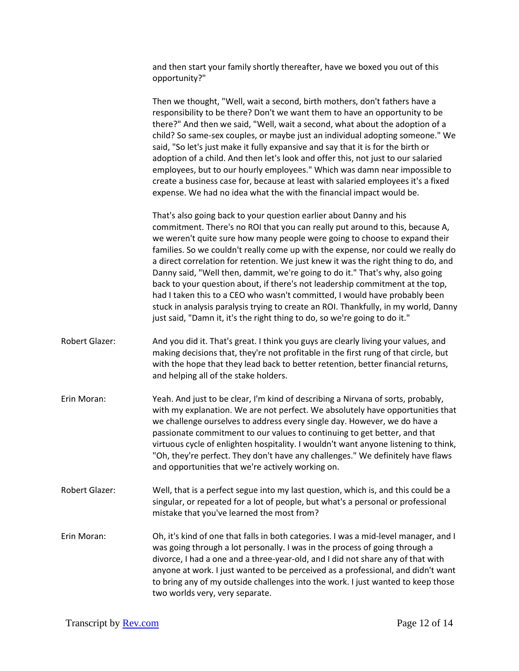and then start your family shortly thereafter, have we boxed you out of this opportunity?"

Then we thought, "Well, wait a second, birth mothers, don't fathers have a responsibility to be there? Don't we want them to have an opportunity to be there?" And then we said, "Well, wait a second, what about the adoption of a child? So same-sex couples, or maybe just an individual adopting someone." We said, "So let's just make it fully expansive and say that it is for the birth or adoption of a child. And then let's look and offer this, not just to our salaried employees, but to our hourly employees." Which was damn near impossible to create a business case for, because at least with salaried employees it's a fixed expense. We had no idea what the with the financial impact would be.

That's also going back to your question earlier about Danny and his commitment. There's no ROI that you can really put around to this, because A, we weren't quite sure how many people were going to choose to expand their families. So we couldn't really come up with the expense, nor could we really do a direct correlation for retention. We just knew it was the right thing to do, and Danny said, "Well then, dammit, we're going to do it." That's why, also going back to your question about, if there's not leadership commitment at the top, had I taken this to a CEO who wasn't committed, I would have probably been stuck in analysis paralysis trying to create an ROI. Thankfully, in my world, Danny just said, "Damn it, it's the right thing to do, so we're going to do it."

- Robert Glazer: And you did it. That's great. I think you guys are clearly living your values, and making decisions that, they're not profitable in the first rung of that circle, but with the hope that they lead back to better retention, better financial returns, and helping all of the stake holders.
- Erin Moran: Yeah. And just to be clear, I'm kind of describing a Nirvana of sorts, probably, with my explanation. We are not perfect. We absolutely have opportunities that we challenge ourselves to address every single day. However, we do have a passionate commitment to our values to continuing to get better, and that virtuous cycle of enlighten hospitality. I wouldn't want anyone listening to think, "Oh, they're perfect. They don't have any challenges." We definitely have flaws and opportunities that we're actively working on.
- Robert Glazer: Well, that is a perfect segue into my last question, which is, and this could be a singular, or repeated for a lot of people, but what's a personal or professional mistake that you've learned the most from?
- Erin Moran: Oh, it's kind of one that falls in both categories. I was a mid-level manager, and I was going through a lot personally. I was in the process of going through a divorce, I had a one and a three-year-old, and I did not share any of that with anyone at work. I just wanted to be perceived as a professional, and didn't want to bring any of my outside challenges into the work. I just wanted to keep those two worlds very, very separate.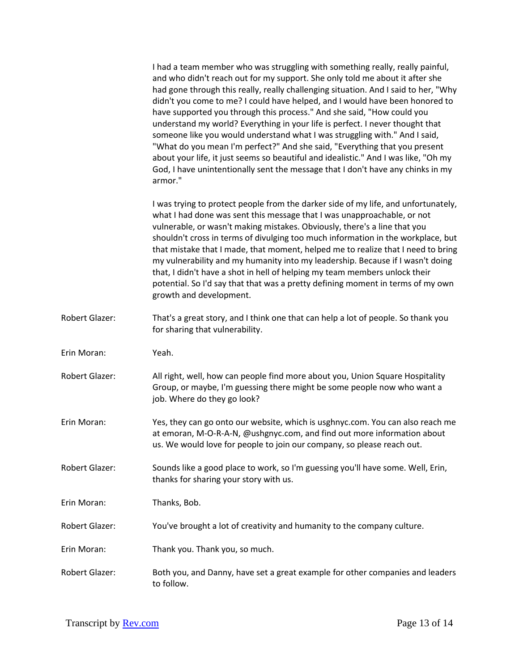|                       | I had a team member who was struggling with something really, really painful,<br>and who didn't reach out for my support. She only told me about it after she<br>had gone through this really, really challenging situation. And I said to her, "Why<br>didn't you come to me? I could have helped, and I would have been honored to<br>have supported you through this process." And she said, "How could you<br>understand my world? Everything in your life is perfect. I never thought that<br>someone like you would understand what I was struggling with." And I said,<br>"What do you mean I'm perfect?" And she said, "Everything that you present<br>about your life, it just seems so beautiful and idealistic." And I was like, "Oh my<br>God, I have unintentionally sent the message that I don't have any chinks in my<br>armor." |
|-----------------------|--------------------------------------------------------------------------------------------------------------------------------------------------------------------------------------------------------------------------------------------------------------------------------------------------------------------------------------------------------------------------------------------------------------------------------------------------------------------------------------------------------------------------------------------------------------------------------------------------------------------------------------------------------------------------------------------------------------------------------------------------------------------------------------------------------------------------------------------------|
|                       | I was trying to protect people from the darker side of my life, and unfortunately,<br>what I had done was sent this message that I was unapproachable, or not<br>vulnerable, or wasn't making mistakes. Obviously, there's a line that you<br>shouldn't cross in terms of divulging too much information in the workplace, but<br>that mistake that I made, that moment, helped me to realize that I need to bring<br>my vulnerability and my humanity into my leadership. Because if I wasn't doing<br>that, I didn't have a shot in hell of helping my team members unlock their<br>potential. So I'd say that that was a pretty defining moment in terms of my own<br>growth and development.                                                                                                                                                 |
| Robert Glazer:        | That's a great story, and I think one that can help a lot of people. So thank you<br>for sharing that vulnerability.                                                                                                                                                                                                                                                                                                                                                                                                                                                                                                                                                                                                                                                                                                                             |
| Erin Moran:           | Yeah.                                                                                                                                                                                                                                                                                                                                                                                                                                                                                                                                                                                                                                                                                                                                                                                                                                            |
| Robert Glazer:        | All right, well, how can people find more about you, Union Square Hospitality<br>Group, or maybe, I'm guessing there might be some people now who want a<br>job. Where do they go look?                                                                                                                                                                                                                                                                                                                                                                                                                                                                                                                                                                                                                                                          |
| Erin Moran:           | Yes, they can go onto our website, which is usghnyc.com. You can also reach me<br>at emoran, M-O-R-A-N, @ushgnyc.com, and find out more information about<br>us. We would love for people to join our company, so please reach out.                                                                                                                                                                                                                                                                                                                                                                                                                                                                                                                                                                                                              |
| Robert Glazer:        | Sounds like a good place to work, so I'm guessing you'll have some. Well, Erin,<br>thanks for sharing your story with us.                                                                                                                                                                                                                                                                                                                                                                                                                                                                                                                                                                                                                                                                                                                        |
| Erin Moran:           | Thanks, Bob.                                                                                                                                                                                                                                                                                                                                                                                                                                                                                                                                                                                                                                                                                                                                                                                                                                     |
| Robert Glazer:        | You've brought a lot of creativity and humanity to the company culture.                                                                                                                                                                                                                                                                                                                                                                                                                                                                                                                                                                                                                                                                                                                                                                          |
| Erin Moran:           | Thank you. Thank you, so much.                                                                                                                                                                                                                                                                                                                                                                                                                                                                                                                                                                                                                                                                                                                                                                                                                   |
| <b>Robert Glazer:</b> | Both you, and Danny, have set a great example for other companies and leaders<br>to follow.                                                                                                                                                                                                                                                                                                                                                                                                                                                                                                                                                                                                                                                                                                                                                      |